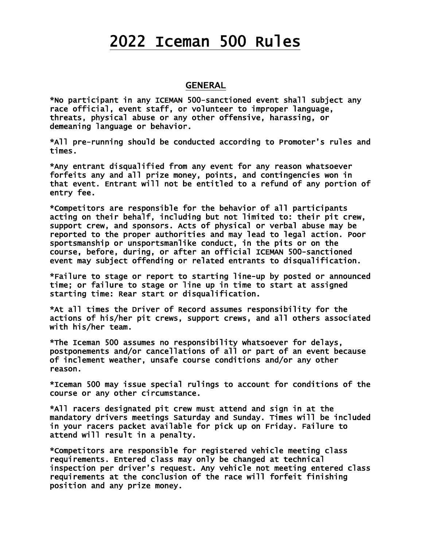# 2022 Iceman 500 Rules

### **GENERAL**

\*No participant in any ICEMAN 500-sanctioned event shall subject any race official, event staff, or volunteer to improper language, threats, physical abuse or any other offensive, harassing, or demeaning language or behavior.

\*All pre-running should be conducted according to Promoter's rules and times.

\*Any entrant disqualified from any event for any reason whatsoever forfeits any and all prize money, points, and contingencies won in that event. Entrant will not be entitled to a refund of any portion of entry fee.

\*Competitors are responsible for the behavior of all participants acting on their behalf, including but not limited to: their pit crew, support crew, and sponsors. Acts of physical or verbal abuse may be reported to the proper authorities and may lead to legal action. Poor sportsmanship or unsportsmanlike conduct, in the pits or on the course, before, during, or after an official ICEMAN 500-sanctioned event may subject offending or related entrants to disqualification.

\*Failure to stage or report to starting line-up by posted or announced time; or failure to stage or line up in time to start at assigned starting time: Rear start or disqualification.

\*At all times the Driver of Record assumes responsibility for the actions of his/her pit crews, support crews, and all others associated with his/her team.

\*The Iceman 500 assumes no responsibility whatsoever for delays, postponements and/or cancellations of all or part of an event because of inclement weather, unsafe course conditions and/or any other reason.

\*Iceman 500 may issue special rulings to account for conditions of the course or any other circumstance.

\*All racers designated pit crew must attend and sign in at the mandatory drivers meetings Saturday and Sunday. Times will be included in your racers packet available for pick up on Friday. Failure to attend will result in a penalty.

\*Competitors are responsible for registered vehicle meeting class requirements. Entered class may only be changed at technical inspection per driver's request. Any vehicle not meeting entered class requirements at the conclusion of the race will forfeit finishing position and any prize money.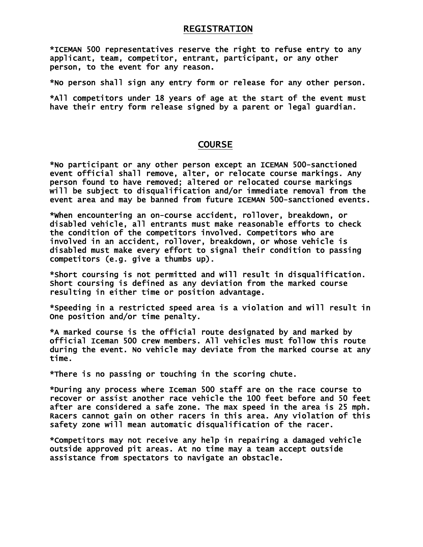#### REGISTRATION

\*ICEMAN 500 representatives reserve the right to refuse entry to any applicant, team, competitor, entrant, participant, or any other person, to the event for any reason.

\*No person shall sign any entry form or release for any other person.

\*All competitors under 18 years of age at the start of the event must have their entry form release signed by a parent or legal guardian.

#### **COURSE**

\*No participant or any other person except an ICEMAN 500-sanctioned event official shall remove, alter, or relocate course markings. Any person found to have removed; altered or relocated course markings will be subject to disqualification and/or immediate removal from the event area and may be banned from future ICEMAN 500-sanctioned events.

\*When encountering an on-course accident, rollover, breakdown, or disabled vehicle, all entrants must make reasonable efforts to check the condition of the competitors involved. Competitors who are involved in an accident, rollover, breakdown, or whose vehicle is disabled must make every effort to signal their condition to passing competitors (e.g. give a thumbs up).

\*Short coursing is not permitted and will result in disqualification. Short coursing is defined as any deviation from the marked course resulting in either time or position advantage.

\*Speeding in a restricted speed area is a violation and will result in One position and/or time penalty.

\*A marked course is the official route designated by and marked by official Iceman 500 crew members. All vehicles must follow this route during the event. No vehicle may deviate from the marked course at any time.

\*There is no passing or touching in the scoring chute.

\*During any process where Iceman 500 staff are on the race course to recover or assist another race vehicle the 100 feet before and 50 feet after are considered a safe zone. The max speed in the area is 25 mph. Racers cannot gain on other racers in this area. Any violation of this safety zone will mean automatic disqualification of the racer.

\*Competitors may not receive any help in repairing a damaged vehicle outside approved pit areas. At no time may a team accept outside assistance from spectators to navigate an obstacle.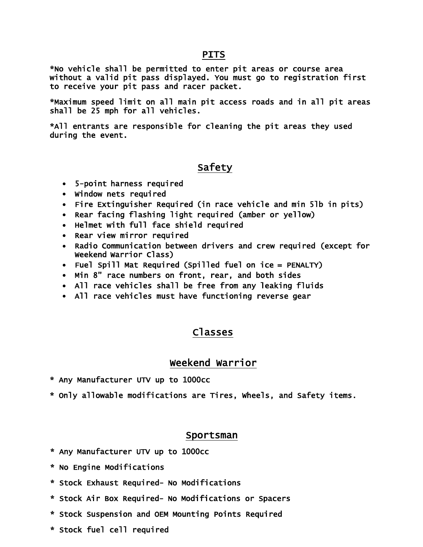## **PITS**

\*No vehicle shall be permitted to enter pit areas or course area without a valid pit pass displayed. You must go to registration first to receive your pit pass and racer packet.

\*Maximum speed limit on all main pit access roads and in all pit areas shall be 25 mph for all vehicles.

\*All entrants are responsible for cleaning the pit areas they used during the event.

# Safety

- 5-point harness required
- Window nets required
- Fire Extinguisher Required (in race vehicle and min 5lb in pits)
- Rear facing flashing light required (amber or yellow)
- Helmet with full face shield required
- Rear view mirror required
- Radio Communication between drivers and crew required (except for Weekend Warrior Class)
- Fuel Spill Mat Required (Spilled fuel on ice = PENALTY)
- Min 8" race numbers on front, rear, and both sides
- All race vehicles shall be free from any leaking fluids
- All race vehicles must have functioning reverse gear

## Classes

# Weekend Warrior

- \* Any Manufacturer UTV up to 1000cc
- \* Only allowable modifications are Tires, Wheels, and Safety items.

#### Sportsman

- \* Any Manufacturer UTV up to 1000cc
- \* No Engine Modifications
- \* Stock Exhaust Required- No Modifications
- \* Stock Air Box Required- No Modifications or Spacers
- \* Stock Suspension and OEM Mounting Points Required
- \* Stock fuel cell required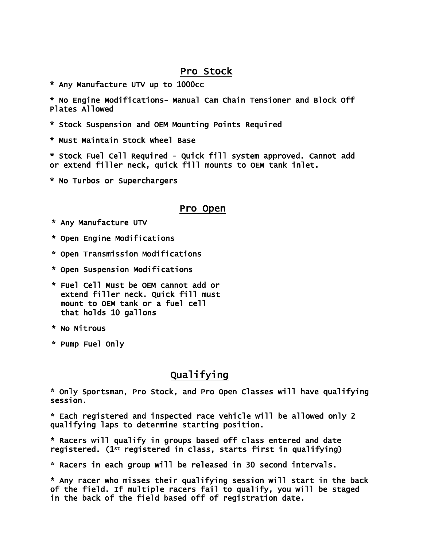## Pro Stock

\* Any Manufacture UTV up to 1000cc

\* No Engine Modifications- Manual Cam Chain Tensioner and Block Off Plates Allowed

- \* Stock Suspension and OEM Mounting Points Required
- \* Must Maintain Stock Wheel Base

\* Stock Fuel Cell Required - Quick fill system approved. Cannot add or extend filler neck, quick fill mounts to OEM tank inlet.

\* No Turbos or Superchargers

#### Pro Open

- \* Any Manufacture UTV
- \* Open Engine Modifications
- \* Open Transmission Modifications
- \* Open Suspension Modifications
- \* Fuel Cell Must be OEM cannot add or extend filler neck. Quick fill must mount to OEM tank or a fuel cell that holds 10 gallons
- \* No Nitrous
- \* Pump Fuel Only

## Qualifying

\* Only Sportsman, Pro Stock, and Pro Open Classes will have qualifying session.

\* Each registered and inspected race vehicle will be allowed only 2 qualifying laps to determine starting position.

\* Racers will qualify in groups based off class entered and date registered. (1st registered in class, starts first in qualifying)

\* Racers in each group will be released in 30 second intervals.

\* Any racer who misses their qualifying session will start in the back of the field. If multiple racers fail to qualify, you will be staged in the back of the field based off of registration date.